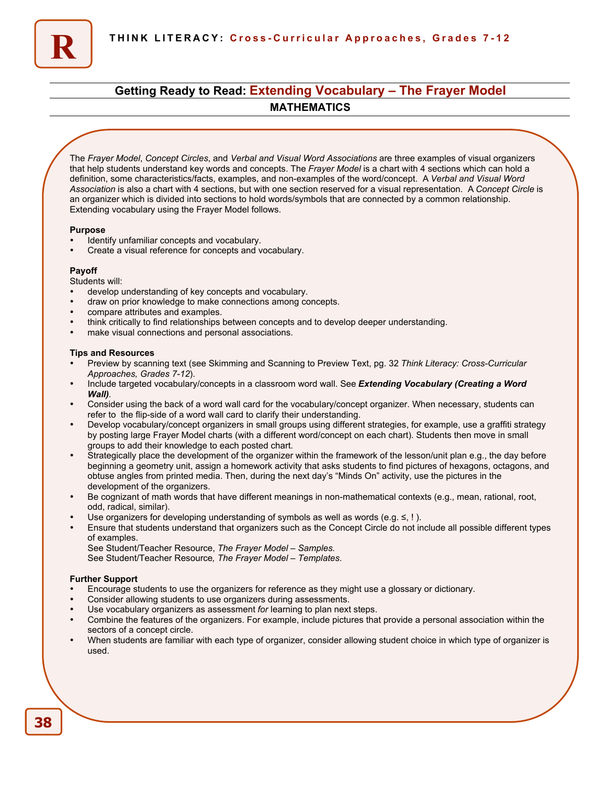

### **Getting Ready to Read: Extending Vocabulary – The Frayer Model MATHEMATICS**

The *Frayer Model*, *Concept Circles*, and *Verbal and Visual Word Associations* are three examples of visual organizers that help students understand key words and concepts. The *Frayer Model* is a chart with 4 sections which can hold a definition, some characteristics/facts, examples, and non-examples of the word/concept. A *Verbal and Visual Word Association* is also a chart with 4 sections, but with one section reserved for a visual representation. A *Concept Circle* is an organizer which is divided into sections to hold words/symbols that are connected by a common relationship. Extending vocabulary using the Frayer Model follows.

#### **Purpose**

Identify unfamiliar concepts and vocabulary. Create a visual reference for concepts and vocabulary.

#### **Payoff**

Students will:

develop understanding of key concepts and vocabulary.

draw on prior knowledge to make connections among concepts.

compare attributes and examples.

think critically to find relationships between concepts and to develop deeper understanding.

make visual connections and personal associations.

#### **Tips and Resources**

Preview by scanning text (see Skimming and Scanning to Preview Text, pg. 32 *Think Literacy: Cross-Curricular Approaches, Grades 7-12*).

Include targeted vocabulary/concepts in a classroom word wall. See *Extending Vocabulary (Creating a Word Wall).*

Consider using the back of a word wall card for the vocabulary/concept organizer. When necessary, students can refer to the flip-side of a word wall card to clarify their understanding.

Develop vocabulary/concept organizers in small groups using different strategies, for example, use a graffiti strategy by posting large Frayer Model charts (with a different word/concept on each chart). Students then move in small groups to add their knowledge to each posted chart.

Strategically place the development of the organizer within the framework of the lesson/unit plan e.g., the day before beginning a geometry unit, assign a homework activity that asks students to find pictures of hexagons, octagons, and obtuse angles from printed media. Then, during the next day's "Minds On" activity, use the pictures in the development of the organizers.

Be cognizant of math words that have different meanings in non-mathematical contexts (e.g., mean, rational, root, odd, radical, similar).

Use organizers for developing understanding of symbols as well as words (e.g.  $\leq$ ,  $\pi$ ).

Ensure that students understand that organizers such as the Concept Circle do not include all possible different types of examples.

See Student/Teacher Resource, *The Frayer Model – Samples.*

See Student/Teacher Resource*, The Frayer Model – Templates.*

#### **Further Support**

Encourage students to use the organizers for reference as they might use a glossary or dictionary.

Consider allowing students to use organizers during assessments.

Use vocabulary organizers as assessment *for* learning to plan next steps.

Combine the features of the organizers. For example, include pictures that provide a personal association within the sectors of a concept circle.

When students are familiar with each type of organizer, consider allowing student choice in which type of organizer is used.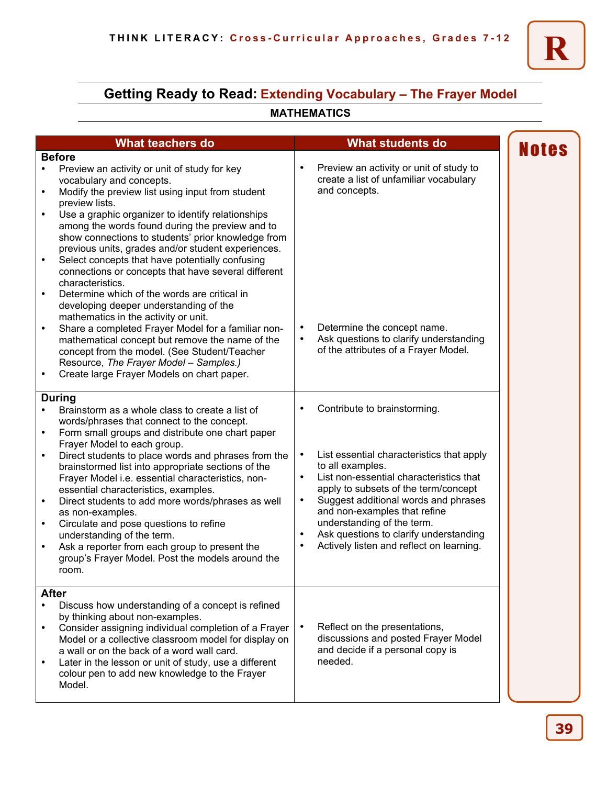

## **Getting Ready to Read: Extending Vocabulary – The Frayer Model MATHEMATICS**

| <b>What teachers do</b>                                                                                                                                                                                                                                                                                                                                                                                                                                                                                                                                                                                                                                                                                                                                                                                                                                                                              | <b>What students do</b>                                                                                                                                                                                                                                                                                                                                                      | <b>Notes</b> |
|------------------------------------------------------------------------------------------------------------------------------------------------------------------------------------------------------------------------------------------------------------------------------------------------------------------------------------------------------------------------------------------------------------------------------------------------------------------------------------------------------------------------------------------------------------------------------------------------------------------------------------------------------------------------------------------------------------------------------------------------------------------------------------------------------------------------------------------------------------------------------------------------------|------------------------------------------------------------------------------------------------------------------------------------------------------------------------------------------------------------------------------------------------------------------------------------------------------------------------------------------------------------------------------|--------------|
| <b>Before</b><br>Preview an activity or unit of study for key<br>vocabulary and concepts.<br>Modify the preview list using input from student<br>preview lists.<br>Use a graphic organizer to identify relationships<br>among the words found during the preview and to<br>show connections to students' prior knowledge from<br>previous units, grades and/or student experiences.<br>Select concepts that have potentially confusing<br>connections or concepts that have several different<br>characteristics.<br>Determine which of the words are critical in<br>developing deeper understanding of the<br>mathematics in the activity or unit.<br>Share a completed Frayer Model for a familiar non-<br>mathematical concept but remove the name of the<br>concept from the model. (See Student/Teacher<br>Resource, The Frayer Model - Samples.)<br>Create large Frayer Models on chart paper. | Preview an activity or unit of study to<br>create a list of unfamiliar vocabulary<br>and concepts.<br>Determine the concept name.<br>Ask questions to clarify understanding<br>of the attributes of a Frayer Model.                                                                                                                                                          |              |
| <b>During</b><br>Brainstorm as a whole class to create a list of<br>words/phrases that connect to the concept.<br>Form small groups and distribute one chart paper<br>Frayer Model to each group.<br>Direct students to place words and phrases from the<br>brainstormed list into appropriate sections of the<br>Frayer Model i.e. essential characteristics, non-<br>essential characteristics, examples.<br>Direct students to add more words/phrases as well<br>as non-examples.<br>Circulate and pose questions to refine<br>understanding of the term.<br>Ask a reporter from each group to present the<br>group's Frayer Model. Post the models around the<br>room.                                                                                                                                                                                                                           | Contribute to brainstorming.<br>List essential characteristics that apply<br>to all examples.<br>List non-essential characteristics that<br>apply to subsets of the term/concept<br>Suggest additional words and phrases<br>and non-examples that refine<br>understanding of the term.<br>Ask questions to clarify understanding<br>Actively listen and reflect on learning. |              |
| <b>After</b><br>Discuss how understanding of a concept is refined<br>by thinking about non-examples.<br>Consider assigning individual completion of a Frayer<br>Model or a collective classroom model for display on<br>a wall or on the back of a word wall card.<br>Later in the lesson or unit of study, use a different<br>colour pen to add new knowledge to the Frayer<br>Model.                                                                                                                                                                                                                                                                                                                                                                                                                                                                                                               | Reflect on the presentations,<br>discussions and posted Frayer Model<br>and decide if a personal copy is<br>needed.                                                                                                                                                                                                                                                          |              |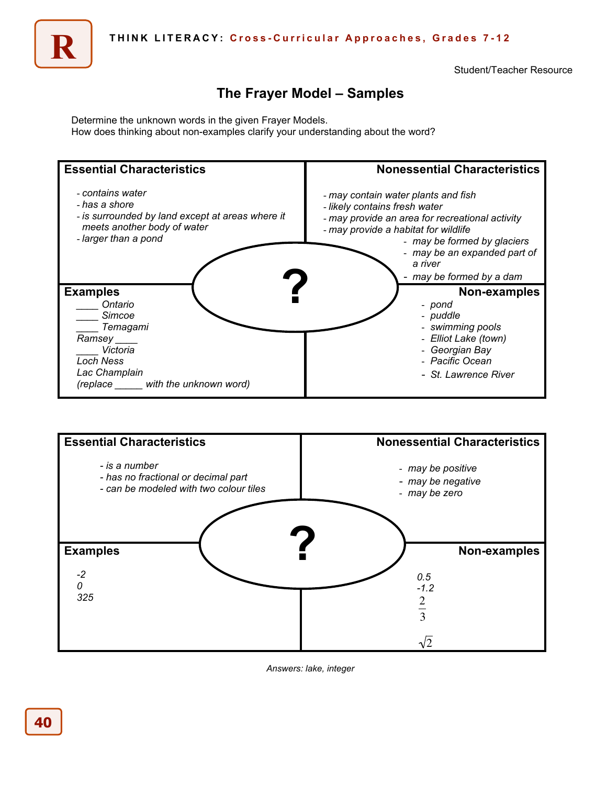

Student/Teacher Resource

# **The Frayer Model – Samples**

Determine the unknown words in the given Frayer Models. How does thinking about non-examples clarify your understanding about the word?





*Answers: lake, integer*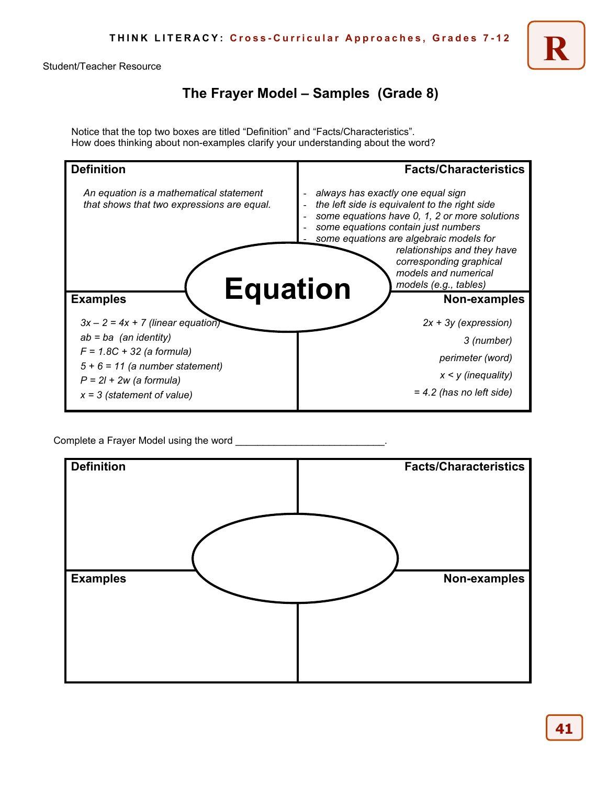Student/Teacher Resource

# **The Frayer Model – Samples (Grade 8)**

Notice that the top two boxes are titled "Definition" and "Facts/Characteristics". How does thinking about non-examples clarify your understanding about the word?



Complete a Frayer Model using the word



**<sup>R</sup> <sup>R</sup>**